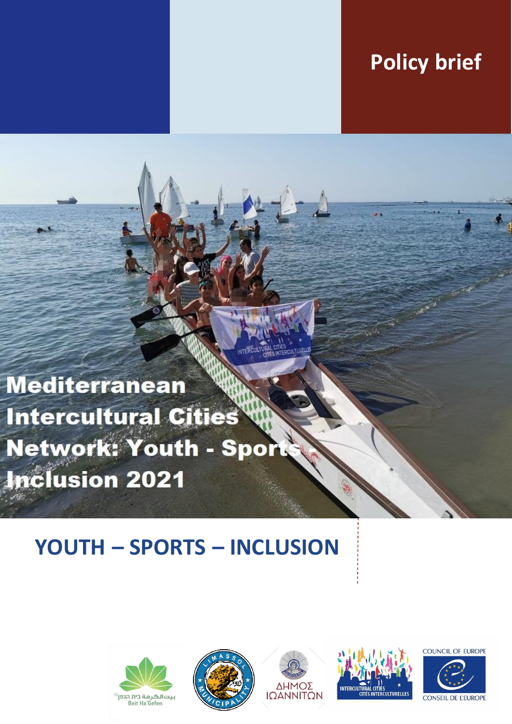## **Policy brief**

**Mediterranean Intercultural Cities** Network: Youth - Spor **Inclusion 2021** 

# **YOUTH – SPORTS – INCLUSION**









**COUNCIL OF EUROPE** 

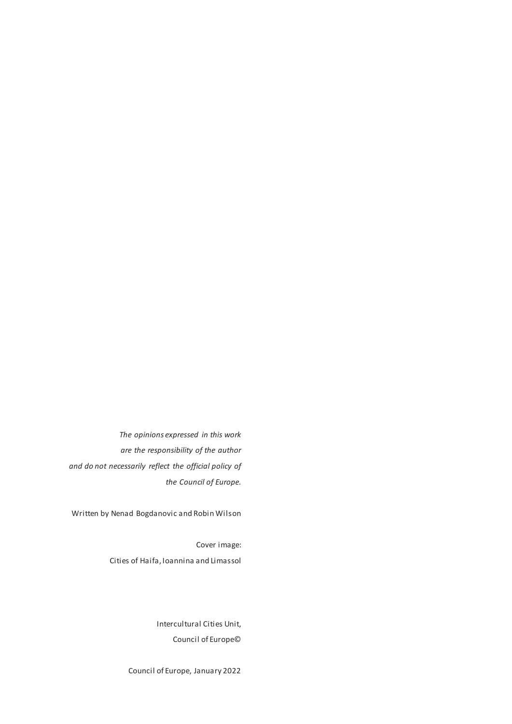*The opinions expressed in this work are the responsibility of the author and do not necessarily reflect the official policy of the Council of Europe.*

Written by Nenad Bogdanovic and Robin Wilson

Cover image: Cities of Haifa, Ioannina and Limassol

> Intercultural Cities Unit, Council of Europe©

Council of Europe, January 2022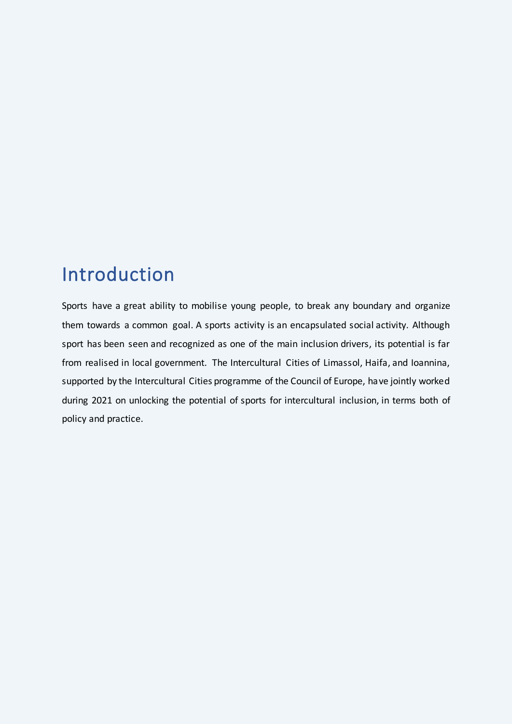#### Introduction

Sports have a great ability to mobilise young people, to break any boundary and organize them towards a common goal. A sports activity is an encapsulated social activity. Although sport has been seen and recognized as one of the main inclusion drivers, its potential is far from realised in local government. The Intercultural Cities of Limassol, Haifa, and Ioannina, supported by the Intercultural Cities programme of the Council of Europe, have jointly worked during 2021 on unlocking the potential of sports for intercultural inclusion, in terms both of policy and practice.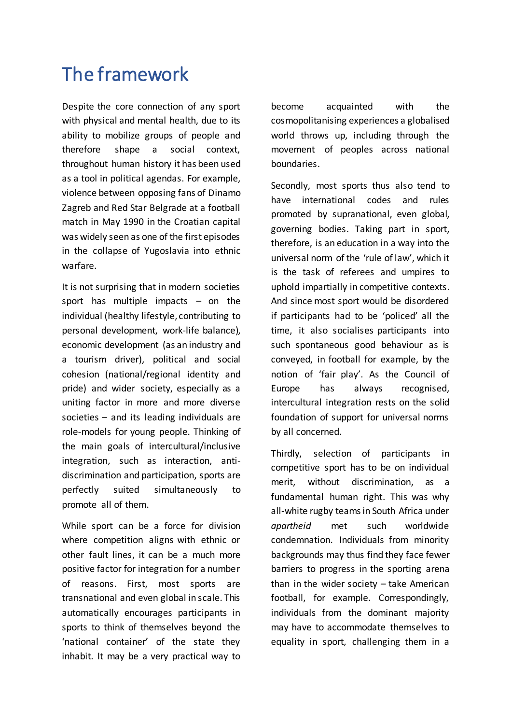### The framework

Despite the core connection of any sport with physical and mental health, due to its ability to mobilize groups of people and therefore shape a social context, throughout human history it has been used as a tool in political agendas. For example, violence between opposing fans of Dinamo Zagreb and Red Star Belgrade at a football match in May 1990 in the Croatian capital was widely seen as one of the first episodes in the collapse of Yugoslavia into ethnic warfare.

It is not surprising that in modern societies sport has multiple impacts – on the individual (healthy lifestyle, contributing to personal development, work-life balance), economic development (as an industry and a tourism driver), political and social cohesion (national/regional identity and pride) and wider society, especially as a uniting factor in more and more diverse societies – and its leading individuals are role-models for young people. Thinking of the main goals of intercultural/inclusive integration, such as interaction, antidiscrimination and participation, sports are perfectly suited simultaneously to promote all of them.

While sport can be a force for division where competition aligns with ethnic or other fault lines, it can be a much more positive factor for integration for a number of reasons. First, most sports are transnational and even global in scale. This automatically encourages participants in sports to think of themselves beyond the 'national container' of the state they inhabit. It may be a very practical way to become acquainted with the cosmopolitanising experiences a globalised world throws up, including through the movement of peoples across national boundaries.

Secondly, most sports thus also tend to have international codes and rules promoted by supranational, even global, governing bodies. Taking part in sport, therefore, is an education in a way into the universal norm of the 'rule of law', which it is the task of referees and umpires to uphold impartially in competitive contexts. And since most sport would be disordered if participants had to be 'policed' all the time, it also socialises participants into such spontaneous good behaviour as is conveyed, in football for example, by the notion of 'fair play'. As the Council of Europe has always recognised, intercultural integration rests on the solid foundation of support for universal norms by all concerned.

Thirdly, selection of participants in competitive sport has to be on individual merit, without discrimination, as a fundamental human right. This was why all-white rugby teams in South Africa under *apartheid* met such worldwide condemnation. Individuals from minority backgrounds may thus find they face fewer barriers to progress in the sporting arena than in the wider society – take American football, for example. Correspondingly, individuals from the dominant majority may have to accommodate themselves to equality in sport, challenging them in a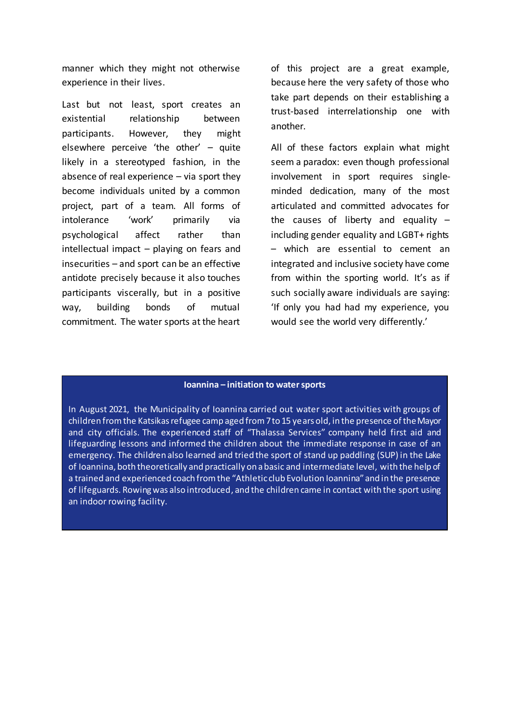manner which they might not otherwise experience in their lives.

Last but not least, sport creates an existential relationship between participants. However, they might elsewhere perceive 'the other' – quite likely in a stereotyped fashion, in the absence of real experience – via sport they become individuals united by a common project, part of a team. All forms of intolerance 'work' primarily via psychological affect rather than intellectual impact – playing on fears and insecurities – and sport can be an effective antidote precisely because it also touches participants viscerally, but in a positive way, building bonds of mutual commitment. The water sports at the heart

of this project are a great example, because here the very safety of those who take part depends on their establishing a trust-based interrelationship one with another.

All of these factors explain what might seem a paradox: even though professional involvement in sport requires singleminded dedication, many of the most articulated and committed advocates for the causes of liberty and equality  $$ including gender equality and LGBT+ rights – which are essential to cement an integrated and inclusive society have come from within the sporting world. It's as if such socially aware individuals are saying: 'If only you had had my experience, you would see the world very differently.'

#### **Ioannina – initiation to water sports**

In August 2021, the Municipality of Ioannina carried out water sport activities with groups of children from the Katsikas refugee camp aged from 7 to 15 years old, in the presence of the Mayor and city officials. The experienced staff of "Thalassa Services" company held first aid and lifeguarding lessons and informed the children about the immediate response in case of an emergency. The children also learned and tried the sport of stand up paddling (SUP) in the Lake of Ioannina, both theoretically and practically on a basic and intermediate level, with the help of a trained and experienced coach from the "Athletic club Evolution Ioannina" and in the presence of lifeguards. Rowing was also introduced, and the children came in contact with the sport using an indoor rowing facility.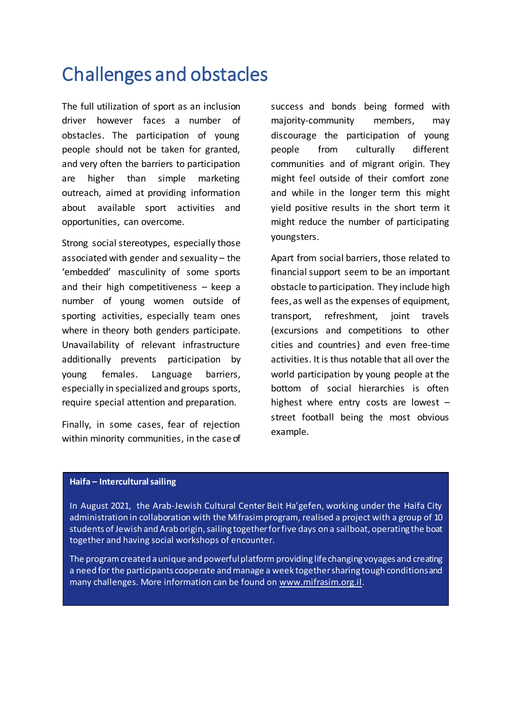### Challenges and obstacles

The full utilization of sport as an inclusion driver however faces a number of obstacles. The participation of young people should not be taken for granted, and very often the barriers to participation are higher than simple marketing outreach, aimed at providing information about available sport activities and opportunities, can overcome.

Strong social stereotypes, especially those associated with gender and sexuality – the 'embedded' masculinity of some sports and their high competitiveness – keep a number of young women outside of sporting activities, especially team ones where in theory both genders participate. Unavailability of relevant infrastructure additionally prevents participation by young females. Language barriers, especially in specialized and groups sports, require special attention and preparation.

Finally, in some cases, fear of rejection within minority communities, in the case of

success and bonds being formed with majority-community members, may discourage the participation of young people from culturally different communities and of migrant origin. They might feel outside of their comfort zone and while in the longer term this might yield positive results in the short term it might reduce the number of participating youngsters.

Apart from social barriers, those related to financial support seem to be an important obstacle to participation. They include high fees, as well as the expenses of equipment, transport, refreshment, joint travels (excursions and competitions to other cities and countries) and even free-time activities. It is thus notable that all over the world participation by young people at the bottom of social hierarchies is often highest where entry costs are lowest – street football being the most obvious example.

#### **Haifa – Intercultural sailing**

In August 2021, the Arab-Jewish Cultural Center Beit Ha'gefen, working under the Haifa City administration in collaboration with the Mifrasim program, realised a project with a group of 10 students of Jewish and Arab origin, sailing together for five days on a sailboat, operating the boat together and having social workshops of encounter.

The program created a unique and powerful platform providing life changing voyages and creating a need for the participants cooperate and manage a week together sharing tough conditions and many challenges. More information can be found [on www.mifrasim.org](http://www.mifrasim.org.il/).il.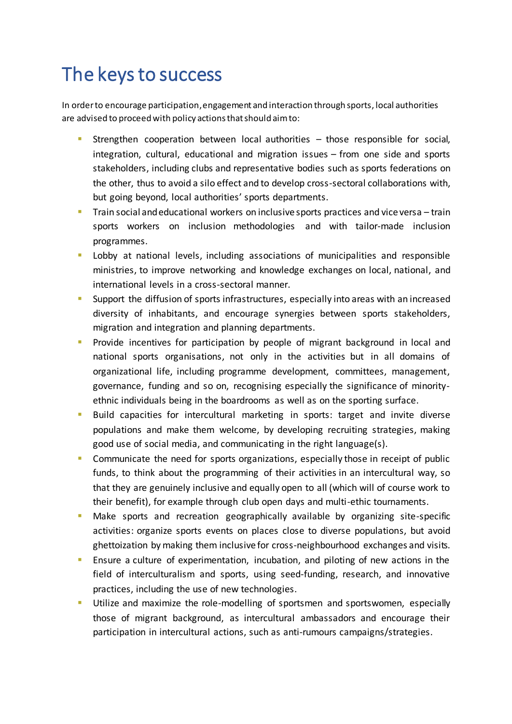## The keys to success

In order to encourage participation, engagement and interaction through sports, local authorities are advised to proceed with policy actions that should aim to:

- Strengthen cooperation between local authorities those responsible for social, integration, cultural, educational and migration issues – from one side and sports stakeholders, including clubs and representative bodies such as sports federations on the other, thus to avoid a silo effect and to develop cross-sectoral collaborations with, but going beyond, local authorities' sports departments.
- Train social and educational workers on inclusive sports practices and vice versa train sports workers on inclusion methodologies and with tailor-made inclusion programmes.
- **Lobby** at national levels, including associations of municipalities and responsible ministries, to improve networking and knowledge exchanges on local, national, and international levels in a cross-sectoral manner.
- **Support the diffusion of sports infrastructures, especially into areas with an increased** diversity of inhabitants, and encourage synergies between sports stakeholders, migration and integration and planning departments.
- **Provide incentives for participation by people of migrant background in local and** national sports organisations, not only in the activities but in all domains of organizational life, including programme development, committees, management, governance, funding and so on, recognising especially the significance of minorityethnic individuals being in the boardrooms as well as on the sporting surface.
- Build capacities for intercultural marketing in sports: target and invite diverse populations and make them welcome, by developing recruiting strategies, making good use of social media, and communicating in the right language(s).
- Communicate the need for sports organizations, especially those in receipt of public funds, to think about the programming of their activities in an intercultural way, so that they are genuinely inclusive and equally open to all (which will of course work to their benefit), for example through club open days and multi-ethic tournaments.
- Make sports and recreation geographically available by organizing site-specific activities: organize sports events on places close to diverse populations, but avoid ghettoization by making them inclusive for cross-neighbourhood exchanges and visits.
- Ensure a culture of experimentation, incubation, and piloting of new actions in the field of interculturalism and sports, using seed-funding, research, and innovative practices, including the use of new technologies.
- Utilize and maximize the role-modelling of sportsmen and sportswomen, especially those of migrant background, as intercultural ambassadors and encourage their participation in intercultural actions, such as anti-rumours campaigns/strategies.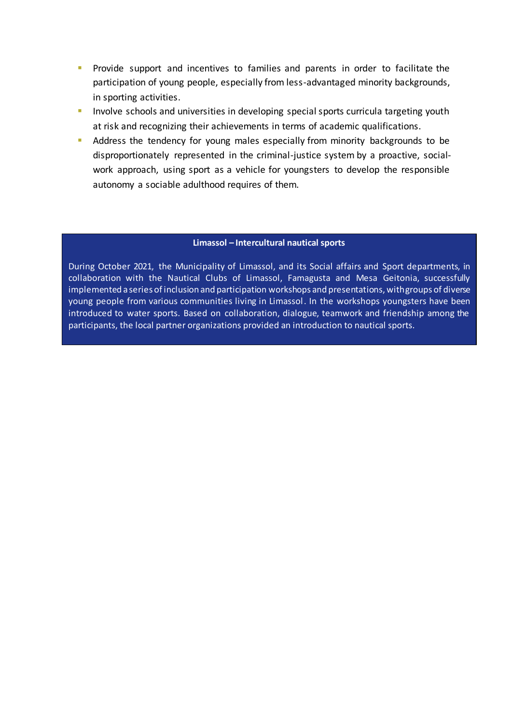- **Provide support and incentives to families and parents in order to facilitate the** participation of young people, especially from less-advantaged minority backgrounds, in sporting activities.
- Involve schools and universities in developing special sports curricula targeting youth at risk and recognizing their achievements in terms of academic qualifications.
- Address the tendency for young males especially from minority backgrounds to be disproportionately represented in the criminal-justice system by a proactive, socialwork approach, using sport as a vehicle for youngsters to develop the responsible autonomy a sociable adulthood requires of them.

#### **Limassol – Intercultural nautical sports**

During October 2021, the Municipality of Limassol, and its Social affairs and Sport departments, in collaboration with the Nautical Clubs of Limassol, Famagusta and Mesa Geitonia, successfully implemented a series of inclusion and participation workshops and presentations, with groups of diverse young people from various communities living in Limassol. In the workshops youngsters have been introduced to water sports. Based on collaboration, dialogue, teamwork and friendship among the participants, the local partner organizations provided an introduction to nautical sports.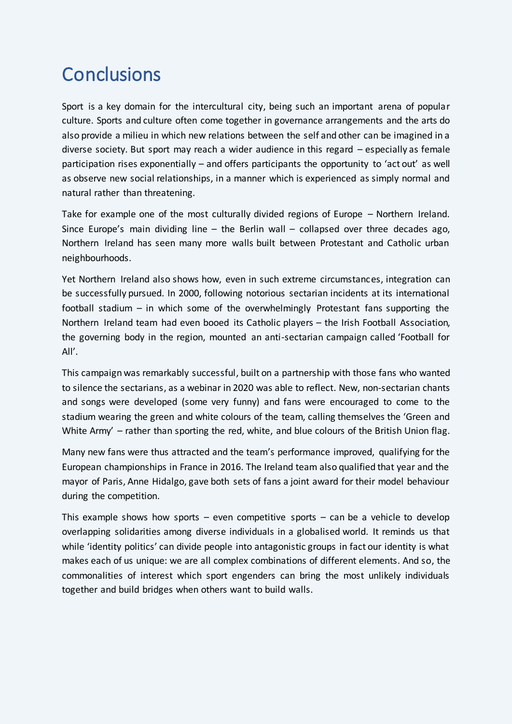### **Conclusions**

Sport is a key domain for the intercultural city, being such an important arena of popular culture. Sports and culture often come together in governance arrangements and the arts do also provide a milieu in which new relations between the self and other can be imagined in a diverse society. But sport may reach a wider audience in this regard – especially as female participation rises exponentially – and offers participants the opportunity to 'act out' as well as observe new social relationships, in a manner which is experienced as simply normal and natural rather than threatening.

Take for example one of the most culturally divided regions of Europe – Northern Ireland. Since Europe's main dividing line – the Berlin wall – collapsed over three decades ago, Northern Ireland has seen many more walls built between Protestant and Catholic urban neighbourhoods.

Yet Northern Ireland also shows how, even in such extreme circumstances, integration can be successfully pursued. In 2000, following notorious sectarian incidents at its international football stadium – in which some of the overwhelmingly Protestant fans supporting the Northern Ireland team had even booed its Catholic players – the Irish Football Association, the governing body in the region, mounted an anti-sectarian campaign called 'Football for All'.

This campaign was remarkably successful, built on a partnership with those fans who wanted to silence the sectarians, as a webinar in 2020 was able to reflect. New, non-sectarian chants and songs were developed (some very funny) and fans were encouraged to come to the stadium wearing the green and white colours of the team, calling themselves the 'Green and White Army' – rather than sporting the red, white, and blue colours of the British Union flag.

Many new fans were thus attracted and the team's performance improved, qualifying for the European championships in France in 2016. The Ireland team also qualified that year and the mayor of Paris, Anne Hidalgo, gave both sets of fans a joint award for their model behaviour during the competition.

This example shows how sports  $-$  even competitive sports  $-$  can be a vehicle to develop overlapping solidarities among diverse individuals in a globalised world. It reminds us that while 'identity politics' can divide people into antagonistic groups in fact our identity is what makes each of us unique: we are all complex combinations of different elements. And so, the commonalities of interest which sport engenders can bring the most unlikely individuals together and build bridges when others want to build walls.